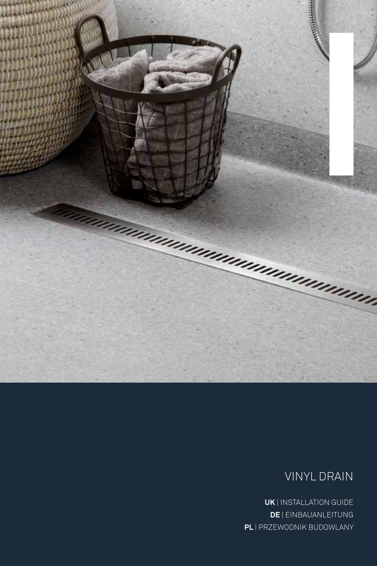

## VINYL DRAIN

**UK** | INSTALLATION GUIDE **DE** | EINBAUANLEITUNG **PL** | PRZEWODNIK BUDOWLANY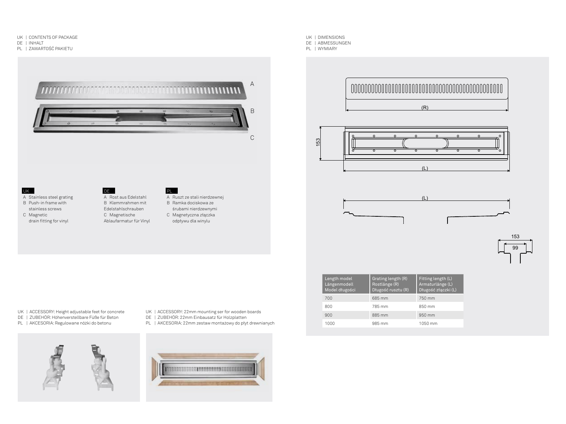- UK | CONTENTS OF PACKAGE
- DE | INHALT
- PL | ZAWARTOŚĆ PAKIETU



## UK

- A Stainless steel grating B Push-in frame with stainless screws
- C Magnetic drain fitting for vinyl

### A Rost aus Edelstahl B Klemmrahmen mit Edelstahlschrauben C Magnetische

DE **DE** 



- Ablaufarmatur für Vinyl
- śrubami nierdzewnymi C Magnetyczna złączka odpływu dla winylu
- UK | DIMENSIONS
- DE | ABMESSUNGEN
- PL | WYMIARY









| Length model<br>Längenmodell<br>Model długości | Grating length (R)<br>Rostlänge (R)<br>Długość rusztu (R) | Fitting length (L)<br>Armaturlänge (L)<br>Długość złączki (L) |
|------------------------------------------------|-----------------------------------------------------------|---------------------------------------------------------------|
| 700                                            | 685 mm                                                    | 750 mm                                                        |
| 800                                            | 785 mm                                                    | 850 mm                                                        |
| 900                                            | 885 mm                                                    | 950 mm                                                        |
| 1000                                           | 985 mm                                                    | 1050 mm                                                       |

- UK | ACCESSORY: Height adjustable feet for concrete
- DE | ZUBEHÖR: Höhenverstellbare Füße für Beton
- PL | AKCESORIA: Regulowane nóżki do betonu



- UK | ACCESSORY: 22mm mounting ser for wooden boards
- DE | ZUBEHÖR: 22mm Einbausatz für Holzplatten
- PL | AKCESORIA: 22mm zestaw montażowy do płyt drewnianych

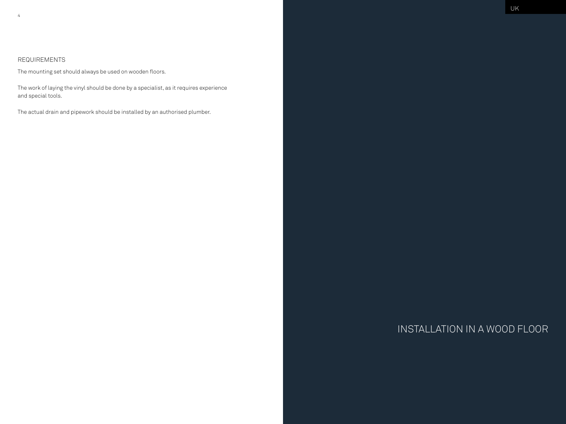## REQUIREMENTS

The mounting set should always be used on wooden floors.

The work of laying the vinyl should be done by a specialist, as it requires experience and special tools.

The actual drain and pipework should be installed by an authorised plumber.

# INSTALLATION IN A WOOD FLOOR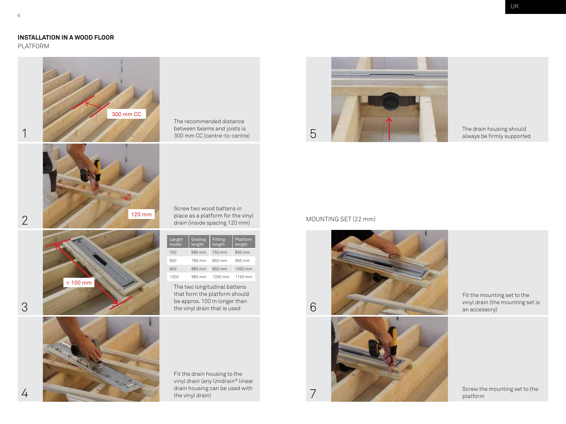## **INSTALLATION IN A WOOD FLOOR**

PLATFORM



The recommended distance between beams and joists is 300 mm CC (centre-to-centre)

Screw two wood battens in place as a platform for the vinyl drain (inside spacing 120 mm)

| Length<br>model | Grating<br>length | Fitting<br>length | Platform<br>length |
|-----------------|-------------------|-------------------|--------------------|
| 700             | 685 mm            | 750 mm            | 850 mm             |
| 800             | 785 mm            | 850 mm            | 950 mm             |
| 900             | 885 mm            | 950 mm            | 1050 mm            |
| 1000            | 985 mm            | 1050 mm           | 1150 mm            |

The two longitudinal battens that form the platform should be approx. 100 m longer than the vinyl drain that is used

Fit the drain housing to the vinyl drain (any Unidrain® linear drain housing can be used with the vinyl drain)



The drain housing should always be firmly supported

## MOUNTING SET (22 mm)

7





Fit the mounting set to the<br>vinyl drain (the mounting set is

Screw the mounting set to the platform

2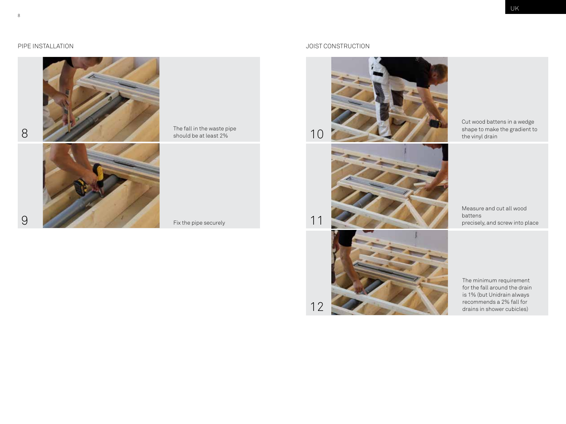

## The fall in the waste pipe should be at least 2%

## PIPE INSTALLATION JOIST CONSTRUCTION



10

11



Cut wood battens in a wedge shape to make the gradient to the vinyl drain

Measure and cut all wood battens precisely, and screw into place



The minimum requirement for the fall around the drain is 1% (but Unidrain always recommends a 2% fall for drains in shower cubicles)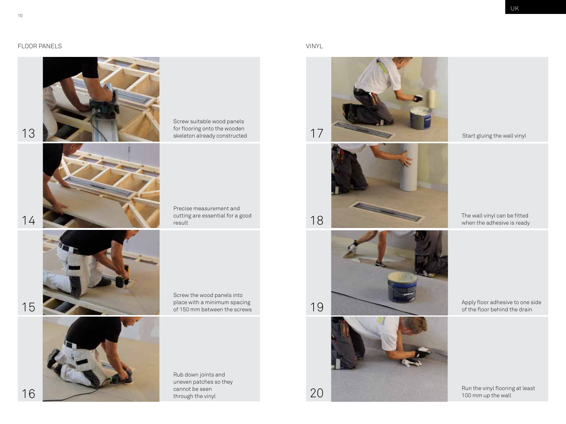## FLOOR PANELS VINYL







Screw suitable wood panels for flooring onto the wooden

Precise measurement and cutting are essential for a good result



Screw the wood panels into place with a minimum spacing of 150 mm between the screws



Rub down joints and uneven patches so they cannot be seen through the vinyl









Start gluing the wall vinyl

The wall vinyl can be fitted when the adhesive is ready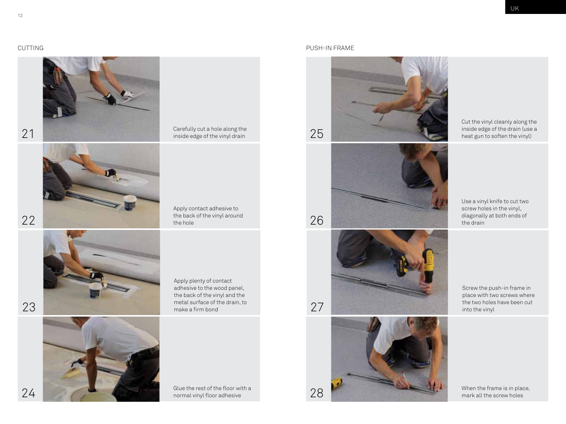

Carefully cut a hole along the

Apply contact adhesive to the back of the vinyl around the hole

Apply plenty of contact adhesive to the wood panel, the back of the vinyl and the metal surface of the drain, to make a firm bond

24 **28 Glue the rest of the floor with a** 28 **Clue the rest of the floor with a** 28

## CUTTING PUSH-IN FRAME









Cut the vinyl cleanly along the inside edge of the drain (use a heat gun to soften the vinyl)

Use a vinyl knife to cut two screw holes in the vinyl, diagonally at both ends of the drain

Screw the push-in frame in place with two screws where the two holes have been cut into the vinyl

When the frame is in place, mark all the screw holes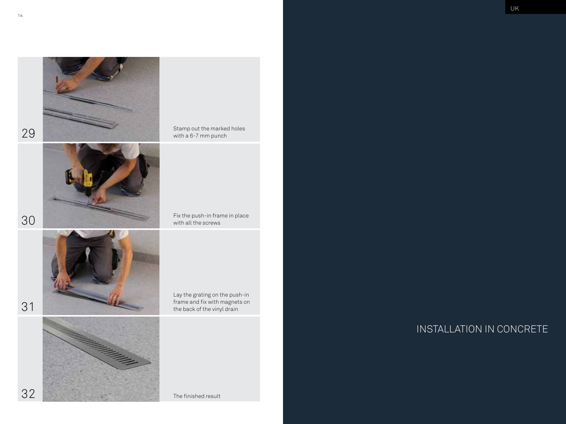

30





31



Stamp out the marked holes with a 6-7 mm punch

Fix the push-in frame in place with all the screws

Lay the grating on the push-in frame and fix with magnets on the back of the vinyl drain

INSTALLATION IN CONCRETE

The finished result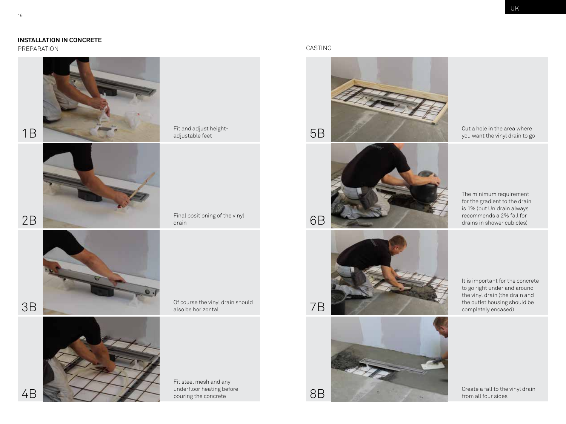## **INSTALLATION IN CONCRETE**

PREPARATION CASTING





Of course the vinyl drain should







Cut a hole in the area where you want the vinyl drain to go

The minimum requirement for the gradient to the drain is 1% (but Unidrain always recommends a 2% fall for drains in shower cubicles)

7B



It is important for the concrete to go right under and around the vinyl drain (the drain and the outlet housing should be completely encased)

Create a fall to the vinyl drain from all four sides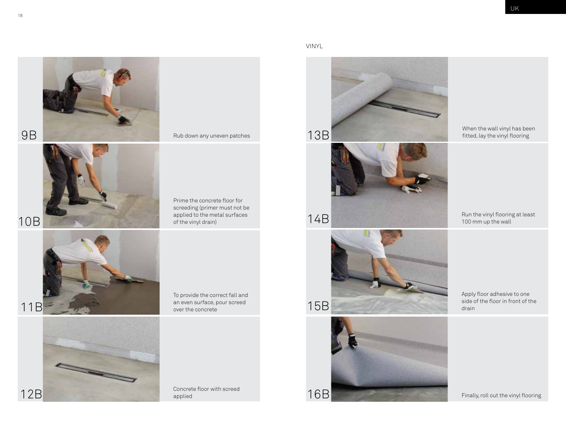









fitted, lay the vinyl flooring

Run the vinyl flooring at least 100 mm up the wall

Apply floor adhesive to one side of the floor in front of the drain

Finally, roll out the vinyl flooring





10B



To provide the correct fall and an even surface, pour screed over the concrete

Prime the concrete floor for screeding (primer must not be applied to the metal surfaces

of the vinyl drain)

12B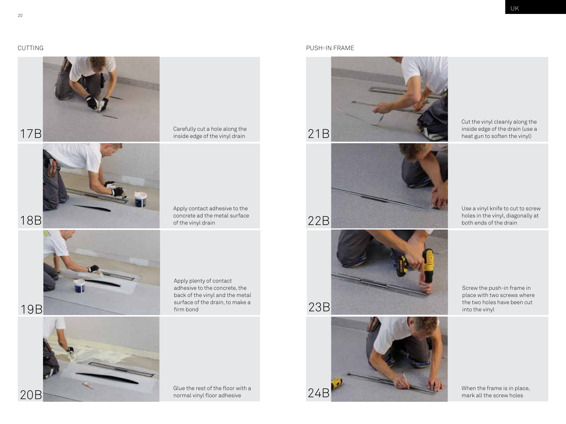

Carefully cut a hole along the inside edge of the vinyl drain

Apply contact adhesive to the concrete ad the metal surface of the vinyl drain



Apply plenty of contact adhesive to the concrete, the back of the vinyl and the metal surface of the drain, to make a firm bond

## CUTTING PUSH-IN FRAME



Cut the vinyl cleanly along the inside edge of the drain (use a heat gun to soften the vinyl)

Use a vinyl knife to cut to screw holes in the vinyl, diagonally at both ends of the drain



23B

22B



Screw the push-in frame in place with two screws where the two holes have been cut into the vinyl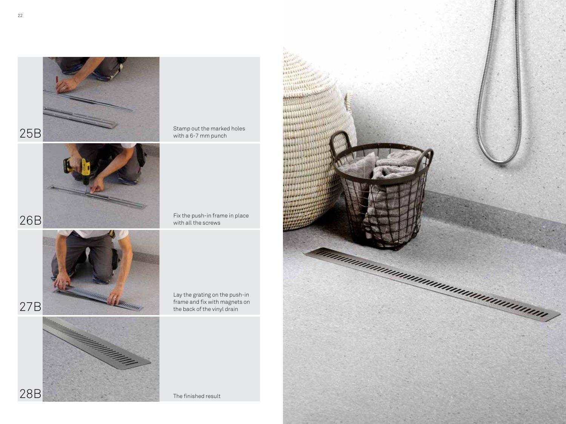

Stamp out the marked holes with a 6-7 mm punch

Fix the push-in frame in place with all the screws

27B



Lay the grating on the push-in frame and fix with magnets on the back of the vinyl drain

The finished result

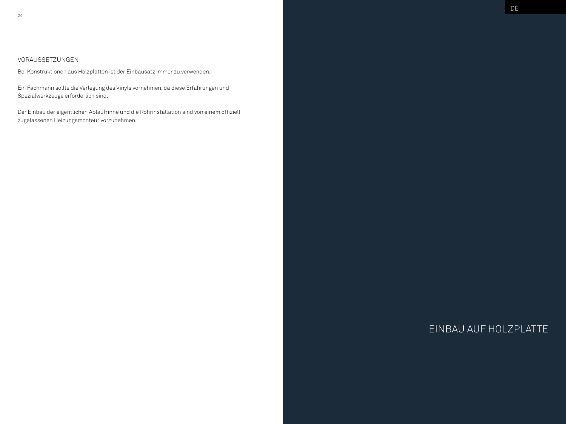## VORAUSSETZUNGEN

Bei Konstruktionen aus Holzplatten ist der Einbausatz immer zu verwenden.

Ein Fachmann sollte die Verlegung des Vinyls vornehmen, da diese Erfahrungen und Spezialwerkzeuge erforderlich sind.

Der Einbau der eigentlichen Ablaufrinne und die Rohrinstallation sind von einem offiziell zugelassenen Heizungsmonteur vorzunehmen.

# EINBAU AUF HOLZPLATTE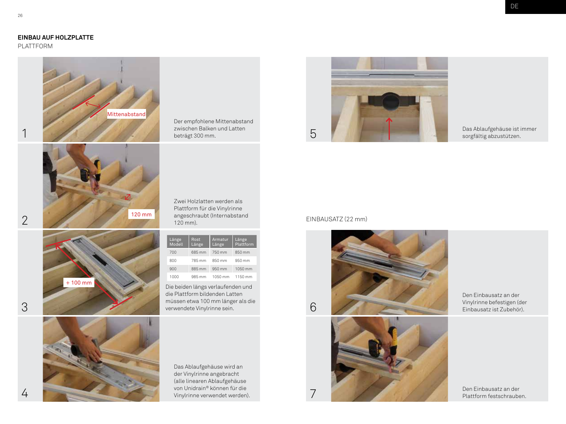## **EINBAU AUF HOLZPLATTE**

PLATTFORM





1

+ 100 mm



Der empfohlene Mittenabstand zwischen Balken und Latten beträgt 300 mm.

Zwei Holzlatten werden als Plattform für die Vinylrinne angeschraubt (Internabstand 120 mm).

| Länge<br>Modell | Rost<br>Länge | Armatur<br>Länge | Länge<br>Plattform |
|-----------------|---------------|------------------|--------------------|
| 700             | 685 mm        | 750 mm           | 850 mm             |
| 800             | 785 mm        | 850 mm           | 950 mm             |
| 900             | 885 mm        | 950 mm           | 1050 mm            |
| 1000            | 985 mm        | 1050 mm          | 1150 mm            |

Die beiden längs verlaufenden und die Plattform bildenden Latten müssen etwa 100 mm länger als die verwendete Vinylrinne sein.

Das Ablaufgehäuse wird an der Vinylrinne angebracht (alle linearen Ablaufgehäuse von Unidrain® können für die Vinylrinne verwendet werden).



Das Ablaufgehäuse ist immer sorgfältig abzustützen.

## EINBAUSATZ (22 mm)

7





Den Einbausatz an der

Den Einbausatz an der Plattform festschrauben.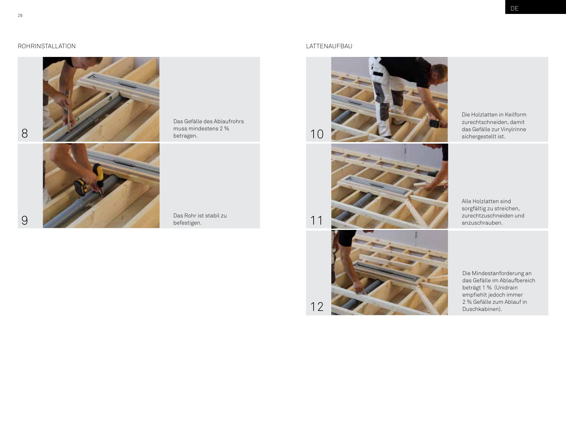

Das Gefälle des Ablaufrohrs muss mindestens 2 % betragen.

er Das Rohr ist stabil zu befestigen.



10

11



Die Holzlatten in Keilform zurechtschneiden, damit das Gefälle zur Vinylrinne sichergestellt ist.

Alle Holzlatten sind sorgfältig zu streichen, zurechtzuschneiden und anzuschrauben.



Die Mindestanforderung an das Gefälle im Ablaufbereich beträgt 1 % (Unidrain empfiehlt jedoch immer 2 % Gefälle zum Ablauf in Duschkabinen).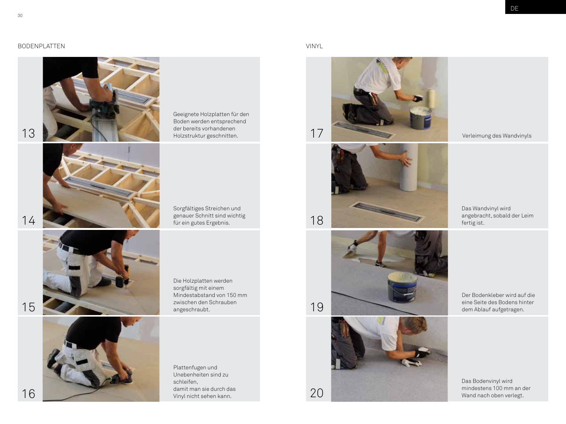## **DE**

## BODENPLATTEN VINYL



Geeignete Holzplatten für den Boden werden entsprechend der bereits vorhandenen



Sorgfältiges Streichen und genauer Schnitt sind wichtig



Die Holzplatten werden sorgfältig mit einem Mindestabstand von 150 mm zwischen den Schrauben angeschraubt.

Unebenheiten sind zu schleifen, damit man sie durch das Vinyl nicht sehen kann.

Plattenfugen und



19







Verleimung des Wandvinyls

Das Wandvinyl wird angebracht, sobald der Leim fertig ist.

Der Bodenkleber wird auf die eine Seite des Bodens hinter dem Ablauf aufgetragen.

Das Bodenvinyl wird mindestens 100 mm an der Wand nach oben verlegt.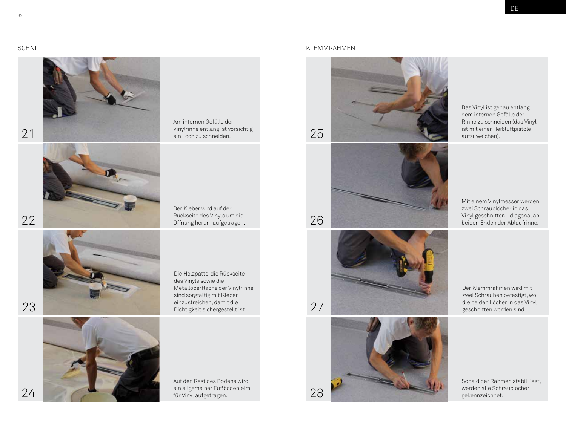

Am internen Gefälle der Vinylrinne entlang ist vorsichtig ein Loch zu schneiden.

Der Kleber wird auf der Rückseite des Vinyls um die



Die Holzpatte, die Rückseite des Vinyls sowie die Metalloberfläche der Vinylrinne sind sorgfältig mit Kleber einzustreichen, damit die



### SCHNITT KLEMMRAHMEN KLEMMRAHMEN KLEMMRAHMEN KLEMMRAHMEN KLEMMRAHMEN KLEMMRAHMEN KLEMMRAHMEN KLEMMRAHMEN KLEMMRAHMEN KLEMMRAHMEN KLEMMRAHMEN KLEMMRAHMEN KLEMMRAHMEN KLEMMRAHMEN KLEMMRAHMEN KLEMMRAHMEN KLEMMRAHMEN KLEMMRAHME



Das Vinyl ist genau entlang dem internen Gefälle der Rinne zu schneiden (das Vinyl ist mit einer Heißluftpistole aufzuweichen).







Mit einem Vinylmesser werden zwei Schraublöcher in das Vinyl geschnitten - diagonal an beiden Enden der Ablaufrinne.

Der Klemmrahmen wird mit zwei Schrauben befestigt, wo die beiden Löcher in das Vinyl geschnitten worden sind.

Sobald der Rahmen stabil liegt, werden alle Schraublöcher gekennzeichnet.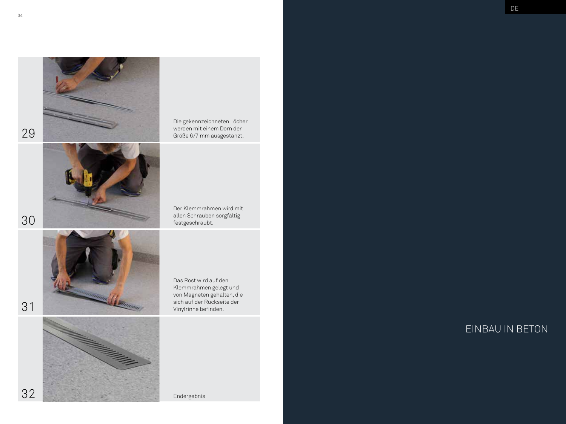



Die gekennzeichneten Löcher werden mit einem Dorn der Größe 6/7 mm ausgestanzt.

Der Klemmrahmen wird mit allen Schrauben sorgfältig festgeschraubt.



Das Rost wird auf den Klemmrahmen gelegt und von Magneten gehalten, die sich auf der Rückseite der Vinylrinne befinden.

32

30



Endergebnis

EINBAU IN BETON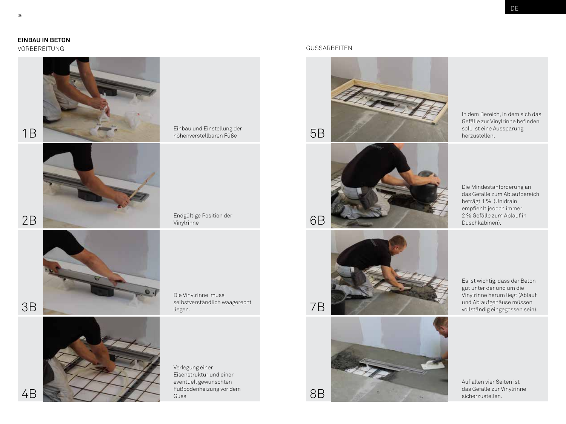## **EINBAU IN BETON**



höhenverstellbaren Füße

selbstverständlich waagerecht



## VORBEREITUNG GUSSARBEITEN





6B

7B



In dem Bereich, in dem sich das Gefälle zur Vinylrinne befinden soll, ist eine Aussparung herzustellen.

Die Mindestanforderung an das Gefälle zum Ablaufbereich beträgt 1 % (Unidrain empfiehlt jedoch immer 2 % Gefälle zum Ablauf in Duschkabinen).



Es ist wichtig, dass der Beton gut unter der und um die Vinylrinne herum liegt (Ablauf und Ablaufgehäuse müssen vollständig eingegossen sein).

Auf allen vier Seiten ist das Gefälle zur Vinylrinne sicherzustellen.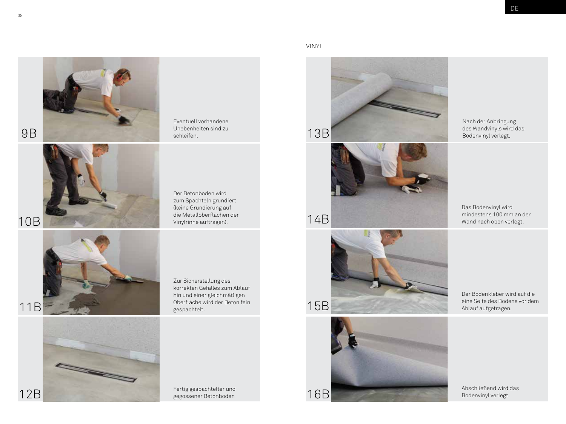







Nach der Anbringung des Wandvinyls wird das Bodenvinyl verlegt.

Das Bodenvinyl wird mindestens 100 mm an der Wand nach oben verlegt.

Der Bodenkleber wird auf die eine Seite des Bodens vor dem Ablauf aufgetragen.



38





Zur Sicherstellung des korrekten Gefälles zum Ablauf hin und einer gleichmäßigen Oberfläche wird der Beton fein gespachtelt.

Der Betonboden wird zum Spachteln grundiert (keine Grundierung auf die Metalloberflächen der Vinylrinne auftragen).

Eventuell vorhandene Unebenheiten sind zu

11B

12B



Fertig gespachtelter und gegossener Betonboden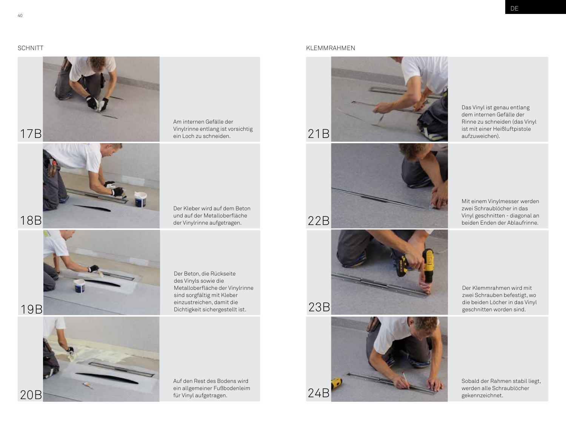



Am internen Gefälle der Vinylrinne entlang ist vorsichtig ein Loch zu schneiden.

Der Kleber wird auf dem Beton und auf der Metalloberfläche der Vinylrinne aufgetragen.



Der Beton, die Rückseite des Vinyls sowie die Metalloberfläche der Vinylrinne sind sorgfältig mit Kleber einzustreichen, damit die Dichtigkeit sichergestellt ist.

20B

Auf den Rest des Bodens wird ein allgemeiner Fußbodenleim für Vinyl aufgetragen.

## SCHNITT KLEMMRAHMEN KLEMMRAHMEN KLEMMRAHMEN KLEMMRAHMEN KLEMMRAHMEN KLEMMRAHMEN KLEMMRAHMEN KLEMMRAHMEN KLEMMRAHMEN KLEMMRAHMEN KLEMMRAHMEN KLEMMRAHMEN KLEMMRAHMEN KLEMMRAHMEN KLEMMRAHMEN KLEMMRAHMEN KLEMMRAHMEN KLEMMRAHME



Das Vinyl ist genau entlang dem internen Gefälle der Rinne zu schneiden (das Vinyl ist mit einer Heißluftpistole aufzuweichen).





Der Klemmrahmen wird mit zwei Schrauben befestigt, wo die beiden Löcher in das Vinyl geschnitten worden sind.

Sobald der Rahmen stabil liegt, werden alle Schraublöcher gekennzeichnet.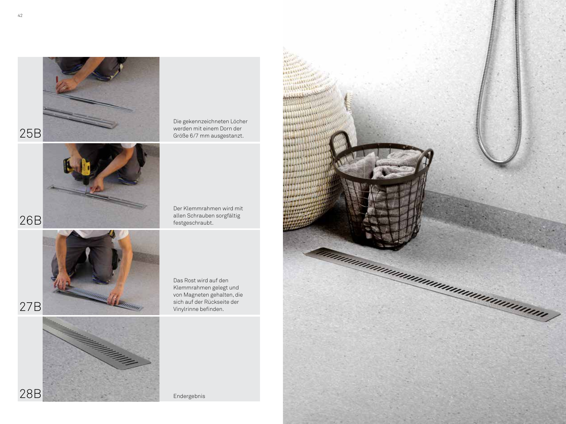



Die gekennzeichneten Löcher werden mit einem Dorn der Größe 6/7 mm ausgestanzt.

Der Klemmrahmen wird mit allen Schrauben sorgfältig festgeschraubt.

26B



Das Rost wird auf den Klemmrahmen gelegt und von Magneten gehalten, die sich auf der Rückseite der Vinylrinne befinden.

27B

28B



Endergebnis

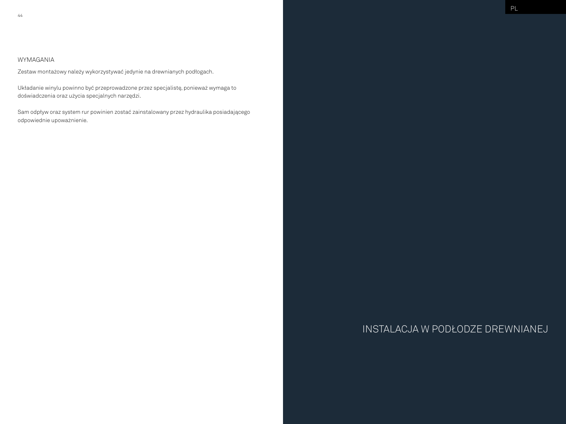## WYMAGANIA

Zestaw montażowy należy wykorzystywać jedynie na drewnianych podłogach.

Układanie winylu powinno być przeprowadzone przez specjalistę, ponieważ wymaga to doświadczenia oraz użycia specjalnych narzędzi.

Sam odpływ oraz system rur powinien zostać zainstalowany przez hydraulika posiadającego odpowiednie upoważnienie.

# INSTALACJA W PODŁODZE DREWNIANEJ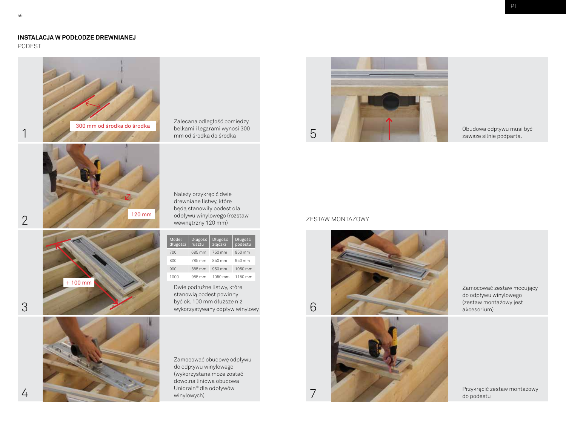## **INSTALACJA W PODŁODZE DREWNIANEJ**

PODEST



Zalecana odległość pomiędzy belkami i legarami wynosi 300 mm od środka do środka

Należy przykręcić dwie drewniane listwy, które będą stanowiły podest dla odpływu winylowego (rozstaw wewnętrzny 120 mm)

| Model<br>długości | Długość<br>rusztu | Długość<br>złączki | Długość<br>podestu |
|-------------------|-------------------|--------------------|--------------------|
| 700               | 685 mm            | 750 mm             | 850 mm             |
| 800               | 785 mm            | 850 mm             | 950 mm             |
| 900               | 885 mm            | 950 mm             | 1050 mm            |
| 1000              | 985 mm            | 1050 mm            | 1150 mm            |

Dwie podłużne listwy, które stanowią podest powinny być ok. 100 mm dłuższe niż wykorzystywany odpływ winylowy

Zamocować obudowę odpływu do odpływu winylowego (wykorzystana może zostać dowolna liniowa obudowa Unidrain® dla odpływów winylowych)



Obudowa odpływu musi być zawsze silnie podparta.

## ZESTAW MONTAŻOWY

7





Zamocować zestaw mocujący do odpływu winylowego

Przykręcić zestaw montażowy do podestu

2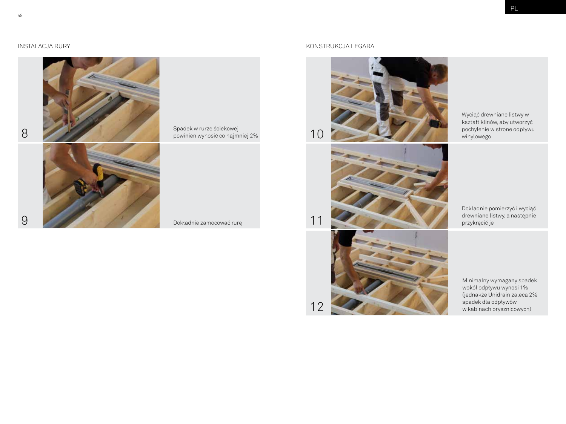

Spadek w rurze ściekowej powinien wynosić co najmniej 2%

## INSTALACJA RURY KONSTRUKCJA LEGARA



10

11



Wyciąć drewniane listwy w kształt klinów, aby utworzyć pochylenie w stronę odpływu winylowego

Dokładnie pomierzyć i wyciąć drewniane listwy, a następnie przykręcić je

Minimalny wymagany spadek wokół odpływu wynosi 1% (jednakże Unidrain zaleca 2% spadek dla odpływów w kabinach prysznicowych)

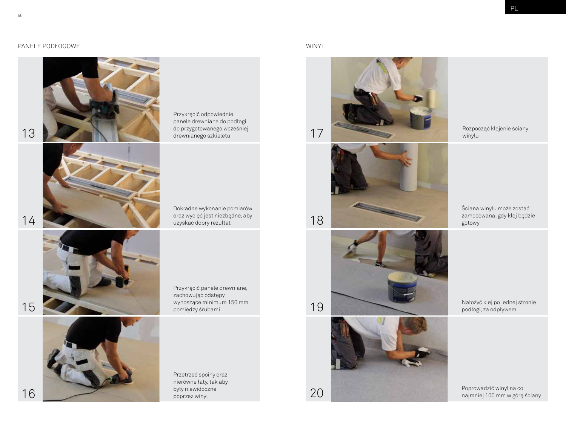## PANELE PODŁOGOWE WINYL



13 17 drewnianego szkieletu 17 Przykręcić odpowiednie panele drewniane do podłogi do przygotowanego wcześniej

> Dokładne wykonanie pomiarów oraz wycięć jest niezbędne, aby



Przykręcić panele drewniane, zachowując odstępy wynoszące minimum 150 mm pomiędzy śrubami

Przetrzeć spoiny oraz nierówne łaty, tak aby były niewidoczne poprzez winyl



Rozpocząć klejenie ściany winylu

Ściana winylu może zostać zamocowana, gdy klej będzie gotowy





podłogi, za odpływem

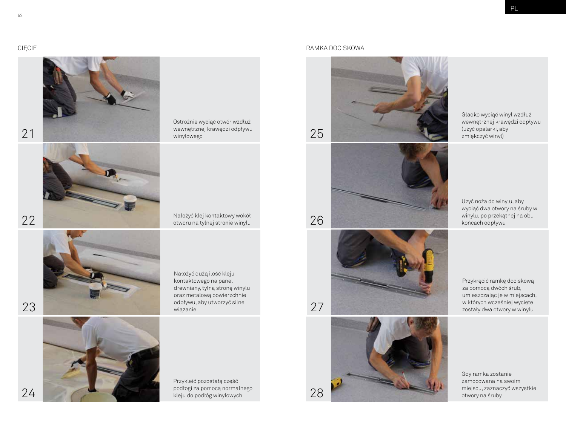

Ostrożnie wyciąć otwór wzdłuż wewnętrznej krawędzi odpływu winylowego





Nałożyć dużą ilość kleju kontaktowego na panel drewniany, tylną stronę winylu oraz metalową powierzchnię odpływu, aby utworzyć silne wiązanie

Nałożyć klej kontaktowy wokół

Przykleić pozostałą część podłogi za pomocą normalnego

## CIĘCIE RAMKA DOCISKOWA





Użyć noża do winylu, aby wyciąć dwa otwory na śruby w winylu, po przekątnej na obu końcach odpływu

Przykręcić ramkę dociskową za pomocą dwóch śrub, umieszczając je w miejscach, w których wcześniej wycięte zostały dwa otwory w winylu

Gdy ramka zostanie zamocowana na swoim miejscu, zaznaczyć wszystkie otwory na śruby

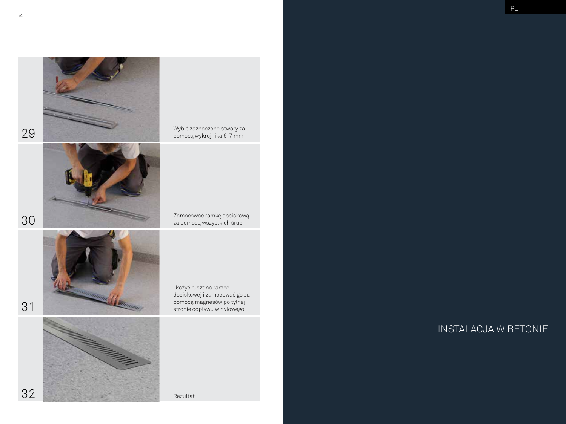



Wybić zaznaczone otwory za pomocą wykrojnika 6-7 mm

Zamocować ramkę dociskową za pomocą wszystkich śrub



a mara mara

Ułożyć ruszt na ramce dociskowej i zamocować go za pomocą magnesów po tylnej stronie odpływu winylowego

INSTALACJA W BETONIE

30

29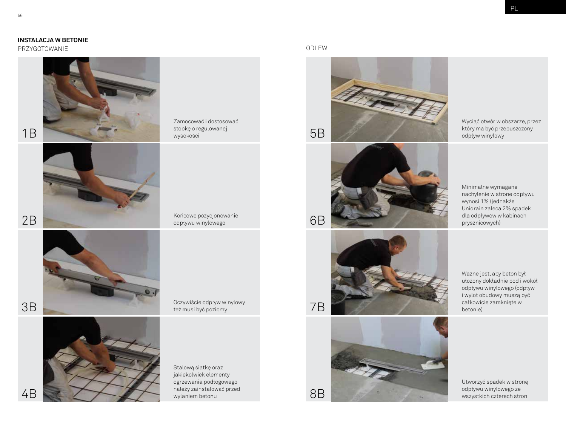PRZYGOTOWANIE ODLEW



1B

2B



3B

4B



Oczywiście odpływ winylowy też musi być poziomy

Końcowe pozycjonowanie odpływu winylowego

Zamocować i dostosować stopkę o regulowanej

wysokości

Stalową siatkę oraz jakiekolwiek elementy ogrzewania podłogowego należy zainstalować przed wylaniem betonu







Wyciąć otwór w obszarze, przez który ma być przepuszczony odpływ winylowy

Minimalne wymagane nachylenie w stronę odpływu wynosi 1% (jednakże Unidrain zaleca 2% spadek dla odpływów w kabinach prysznicowych)





Ważne jest, aby beton był ułożony dokładnie pod i wokół odpływu winylowego (odpływ i wylot obudowy muszą być całkowicie zamknięte w betonie)

Utworzyć spadek w stronę odpływu winylowego ze wszystkich czterech stron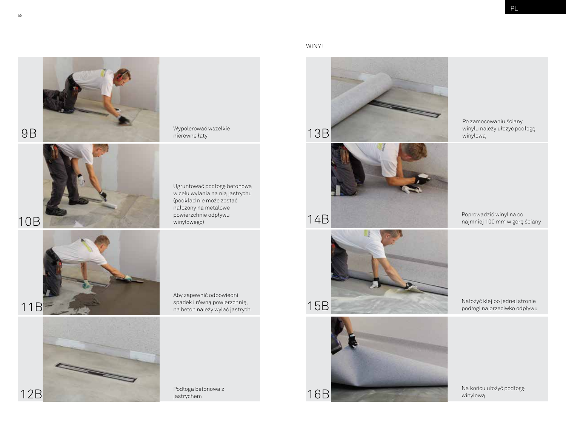

Wypolerować wszelkie Wypolerować wszelkie<br>nierówne łaty 13B

Ugruntować podłogę betonową w celu wylania na nią jastrychu (podkład nie może zostać nałożony na metalowe powierzchnie odpływu winylowego)

11B

12B

Aby zapewnić odpowiedni spadek i równą powierzchnię, na beton należy wylać jastrych

## WINYL









Po zamocowaniu ściany winylu należy ułożyć podłogę winylową

Poprowadzić winyl na co najmniej 100 mm w górę ściany

Nałożyć klej po jednej stronie podłogi na przeciwko odpływu

Na końcu ułożyć podłogę winylową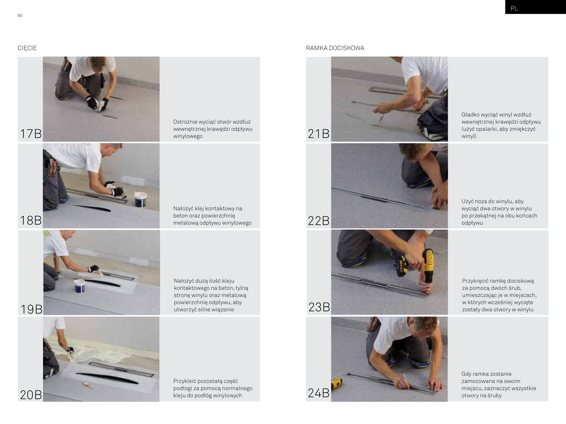PL

CIĘCIE RAMKA DOCISKOWA



17B

18B



Ostrożnie wyciąć otwór wzdłuż wewnętrznej krawędzi odpływu winylowego

Nałożyć klej kontaktowy na beton oraz powierzchnię metalową odpływu winylowego



kontaktowego na beton, tylną stronę winylu oraz metalową powierzchnię odpływu, aby utworzyć silne wiązanie

19B

20B



Przykleić pozostałą część podłogi za pomocą normalnego kleju do podłóg winylowych

Nałożyć dużą ilość kleju



21B

22B

Gładko wyciąć winyl wzdłuż wewnętrznej krawędzi odpływu (użyć opalarki, aby zmiękczyć winyl)

Użyć noża do winylu, aby wyciąć dwa otwory w winylu po przekątnej na obu końcach odpływu

Przykręcić ramkę dociskową za pomocą dwóch śrub, umieszczając je w miejscach, w których wcześniej wycięte zostały dwa otwory w winylu

Gdy ramka zostanie zamocowana na swoim miejscu, zaznaczyć wszystkie otwory na śruby

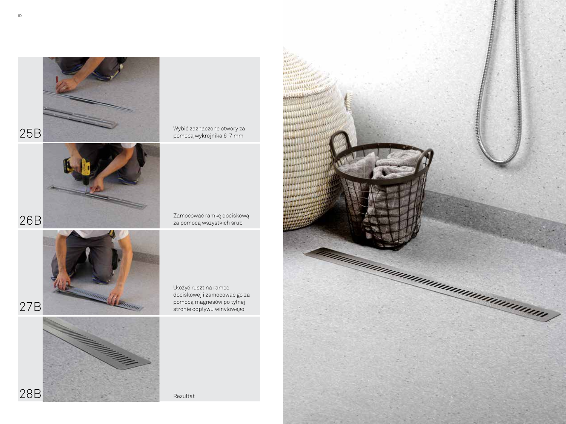



Wybić zaznaczone otwory za pomocą wykrojnika 6-7 mm

Zamocować ramkę dociskową za pomocą wszystkich śrub



Ułożyć ruszt na ramce dociskowej i zamocować go za pomocą magnesów po tylnej stronie odpływu winylowego

Rezultat